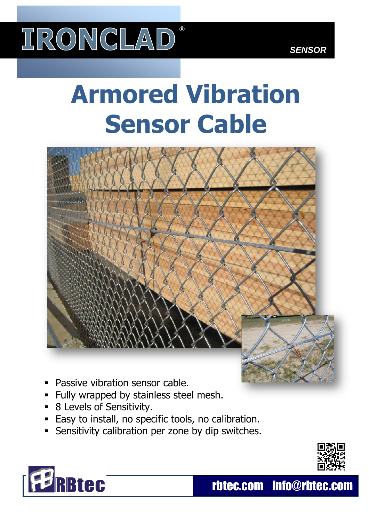

# **Armored Vibration Sensor Cable**



- Passive vibration sensor cable.
- Fully wrapped by stainless steel mesh.
- 8 Levels of Sensitivity.
- Easy to install, no specific tools, no calibration.
- **Sensitivity calibration per zone by dip switches.**